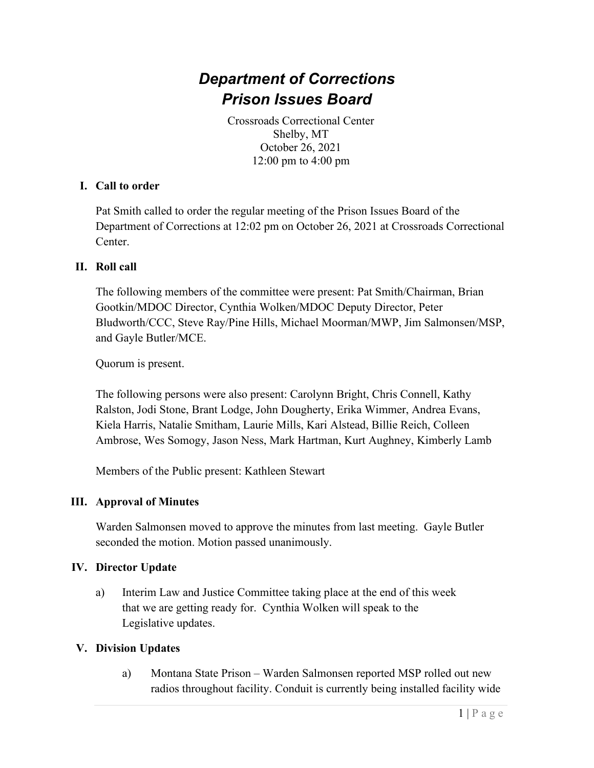# *Department of Corrections Prison Issues Board*

Crossroads Correctional Center Shelby, MT October 26, 2021 12:00 pm to 4:00 pm

#### **I. Call to order**

Pat Smith called to order the regular meeting of the Prison Issues Board of the Department of Corrections at 12:02 pm on October 26, 2021 at Crossroads Correctional Center.

#### **II. Roll call**

The following members of the committee were present: Pat Smith/Chairman, Brian Gootkin/MDOC Director, Cynthia Wolken/MDOC Deputy Director, Peter Bludworth/CCC, Steve Ray/Pine Hills, Michael Moorman/MWP, Jim Salmonsen/MSP, and Gayle Butler/MCE.

Quorum is present.

The following persons were also present: Carolynn Bright, Chris Connell, Kathy Ralston, Jodi Stone, Brant Lodge, John Dougherty, Erika Wimmer, Andrea Evans, Kiela Harris, Natalie Smitham, Laurie Mills, Kari Alstead, Billie Reich, Colleen Ambrose, Wes Somogy, Jason Ness, Mark Hartman, Kurt Aughney, Kimberly Lamb

Members of the Public present: Kathleen Stewart

## **III. Approval of Minutes**

Warden Salmonsen moved to approve the minutes from last meeting. Gayle Butler seconded the motion. Motion passed unanimously.

#### **IV. Director Update**

a) Interim Law and Justice Committee taking place at the end of this week that we are getting ready for. Cynthia Wolken will speak to the Legislative updates.

#### **V. Division Updates**

a) Montana State Prison – Warden Salmonsen reported MSP rolled out new radios throughout facility. Conduit is currently being installed facility wide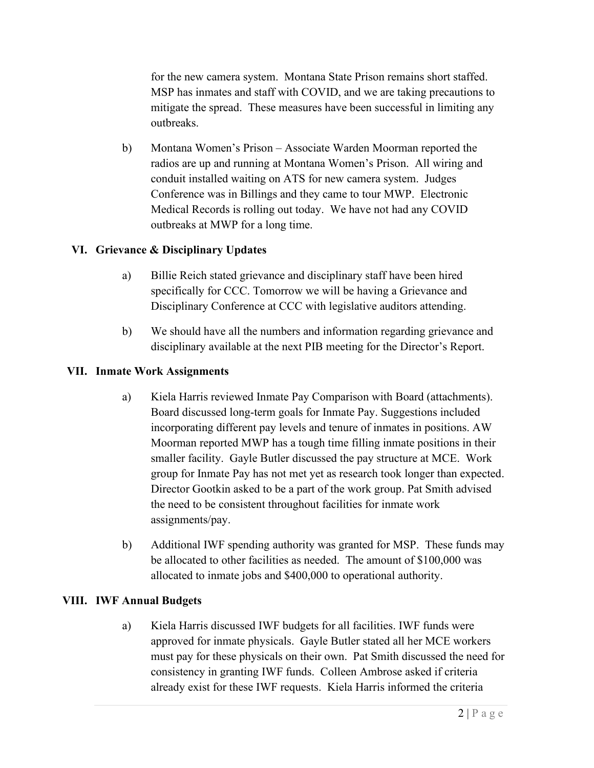for the new camera system. Montana State Prison remains short staffed. MSP has inmates and staff with COVID, and we are taking precautions to mitigate the spread. These measures have been successful in limiting any outbreaks.

b) Montana Women's Prison – Associate Warden Moorman reported the radios are up and running at Montana Women's Prison. All wiring and conduit installed waiting on ATS for new camera system. Judges Conference was in Billings and they came to tour MWP. Electronic Medical Records is rolling out today. We have not had any COVID outbreaks at MWP for a long time.

# **VI. Grievance & Disciplinary Updates**

- a) Billie Reich stated grievance and disciplinary staff have been hired specifically for CCC. Tomorrow we will be having a Grievance and Disciplinary Conference at CCC with legislative auditors attending.
- b) We should have all the numbers and information regarding grievance and disciplinary available at the next PIB meeting for the Director's Report.

# **VII. Inmate Work Assignments**

- a) Kiela Harris reviewed Inmate Pay Comparison with Board (attachments). Board discussed long-term goals for Inmate Pay. Suggestions included incorporating different pay levels and tenure of inmates in positions. AW Moorman reported MWP has a tough time filling inmate positions in their smaller facility. Gayle Butler discussed the pay structure at MCE. Work group for Inmate Pay has not met yet as research took longer than expected. Director Gootkin asked to be a part of the work group. Pat Smith advised the need to be consistent throughout facilities for inmate work assignments/pay.
- b) Additional IWF spending authority was granted for MSP. These funds may be allocated to other facilities as needed. The amount of \$100,000 was allocated to inmate jobs and \$400,000 to operational authority.

## **VIII. IWF Annual Budgets**

a) Kiela Harris discussed IWF budgets for all facilities. IWF funds were approved for inmate physicals. Gayle Butler stated all her MCE workers must pay for these physicals on their own. Pat Smith discussed the need for consistency in granting IWF funds. Colleen Ambrose asked if criteria already exist for these IWF requests. Kiela Harris informed the criteria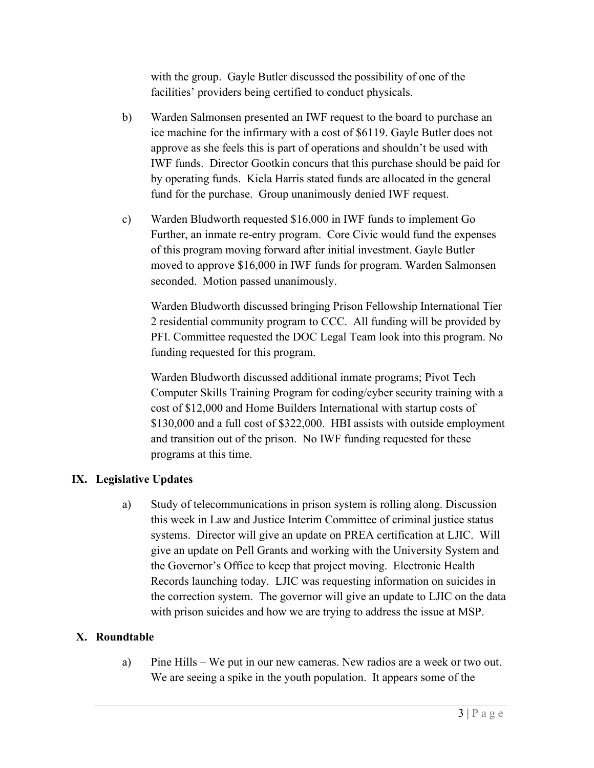with the group. Gayle Butler discussed the possibility of one of the facilities' providers being certified to conduct physicals.

- b) Warden Salmonsen presented an IWF request to the board to purchase an ice machine for the infirmary with a cost of \$6119. Gayle Butler does not approve as she feels this is part of operations and shouldn't be used with IWF funds. Director Gootkin concurs that this purchase should be paid for by operating funds. Kiela Harris stated funds are allocated in the general fund for the purchase. Group unanimously denied IWF request.
- c) Warden Bludworth requested \$16,000 in IWF funds to implement Go Further, an inmate re-entry program. Core Civic would fund the expenses of this program moving forward after initial investment. Gayle Butler moved to approve \$16,000 in IWF funds for program. Warden Salmonsen seconded. Motion passed unanimously.

Warden Bludworth discussed bringing Prison Fellowship International Tier 2 residential community program to CCC. All funding will be provided by PFI. Committee requested the DOC Legal Team look into this program. No funding requested for this program.

Warden Bludworth discussed additional inmate programs; Pivot Tech Computer Skills Training Program for coding/cyber security training with a cost of \$12,000 and Home Builders International with startup costs of \$130,000 and a full cost of \$322,000. HBI assists with outside employment and transition out of the prison. No IWF funding requested for these programs at this time.

# **IX. Legislative Updates**

a) Study of telecommunications in prison system is rolling along. Discussion this week in Law and Justice Interim Committee of criminal justice status systems. Director will give an update on PREA certification at LJIC. Will give an update on Pell Grants and working with the University System and the Governor's Office to keep that project moving. Electronic Health Records launching today. LJIC was requesting information on suicides in the correction system. The governor will give an update to LJIC on the data with prison suicides and how we are trying to address the issue at MSP.

## **X. Roundtable**

a) Pine Hills – We put in our new cameras. New radios are a week or two out. We are seeing a spike in the youth population. It appears some of the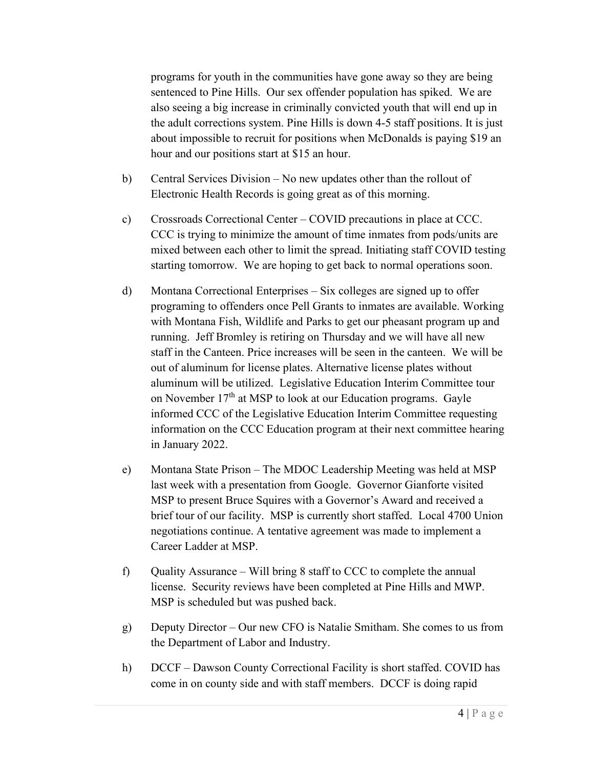programs for youth in the communities have gone away so they are being sentenced to Pine Hills. Our sex offender population has spiked. We are also seeing a big increase in criminally convicted youth that will end up in the adult corrections system. Pine Hills is down 4-5 staff positions. It is just about impossible to recruit for positions when McDonalds is paying \$19 an hour and our positions start at \$15 an hour.

- b) Central Services Division No new updates other than the rollout of Electronic Health Records is going great as of this morning.
- c) Crossroads Correctional Center COVID precautions in place at CCC. CCC is trying to minimize the amount of time inmates from pods/units are mixed between each other to limit the spread. Initiating staff COVID testing starting tomorrow. We are hoping to get back to normal operations soon.
- d) Montana Correctional Enterprises Six colleges are signed up to offer programing to offenders once Pell Grants to inmates are available. Working with Montana Fish, Wildlife and Parks to get our pheasant program up and running. Jeff Bromley is retiring on Thursday and we will have all new staff in the Canteen. Price increases will be seen in the canteen. We will be out of aluminum for license plates. Alternative license plates without aluminum will be utilized. Legislative Education Interim Committee tour on November  $17<sup>th</sup>$  at MSP to look at our Education programs. Gayle informed CCC of the Legislative Education Interim Committee requesting information on the CCC Education program at their next committee hearing in January 2022.
- e) Montana State Prison The MDOC Leadership Meeting was held at MSP last week with a presentation from Google. Governor Gianforte visited MSP to present Bruce Squires with a Governor's Award and received a brief tour of our facility. MSP is currently short staffed. Local 4700 Union negotiations continue. A tentative agreement was made to implement a Career Ladder at MSP.
- f) Quality Assurance Will bring  $8$  staff to CCC to complete the annual license. Security reviews have been completed at Pine Hills and MWP. MSP is scheduled but was pushed back.
- g) Deputy Director Our new CFO is Natalie Smitham. She comes to us from the Department of Labor and Industry.
- h) DCCF Dawson County Correctional Facility is short staffed. COVID has come in on county side and with staff members. DCCF is doing rapid